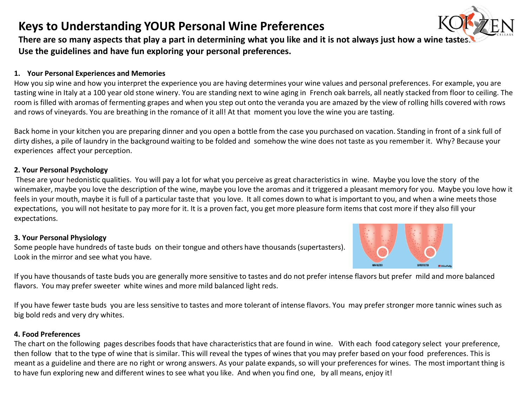## **Keys to Understanding YOUR Personal Wine Preferences**



There are so many aspects that play a part in determining what you like and it is not always just how a wine tas **Use the guidelines and have fun exploring your personal preferences.** 

### **1. Your Personal Experiences and Memories**

How you sip wine and how you interpret the experience you are having determines your wine values and personal preferences. For example, you are tasting wine in Italy at a 100 year old stone winery. You are standing next to wine aging in French oak barrels, all neatly stacked from floor to ceiling. The room is filled with aromas of fermenting grapes and when you step out onto the veranda you are amazed by the view of rolling hills covered with rows and rows of vineyards. You are breathing in the romance of it all! At that moment you love the wine you are tasting.

Back home in your kitchen you are preparing dinner and you open a bottle from the case you purchased on vacation. Standing in front of a sink full of dirty dishes, a pile of laundry in the background waiting to be folded and somehow the wine does not taste as you remember it. Why? Because your experiences affect your perception.

### **2. Your Personal Psychology**

These are your hedonistic qualities. You will pay a lot for what you perceive as great characteristics in wine. Maybe you love the story of the winemaker, maybe you love the description of the wine, maybe you love the aromas and it triggered a pleasant memory for you. Maybe you love how it feels in your mouth, maybe it is full of a particular taste that you love. It all comes down to what is important to you, and when a wine meets those expectations, you will not hesitate to pay more for it. It is a proven fact, you get more pleasure form items that cost more if they also fill your expectations.

#### **3. Your Personal Physiology**

Some people have hundreds of taste buds on their tongue and others have thousands (supertasters). Look in the mirror and see what you have.



If you have thousands of taste buds you are generally more sensitive to tastes and do not prefer intense flavors but prefer mild and more balanced flavors. You may prefer sweeter white wines and more mild balanced light reds.

If you have fewer taste buds you are less sensitive to tastes and more tolerant of intense flavors. You may prefer stronger more tannic wines such as big bold reds and very dry whites.

#### **4. Food Preferences**

The chart on the following pages describes foods that have characteristics that are found in wine. With each food category select your preference, then follow that to the type of wine that is similar. This will reveal the types of wines that you may prefer based on your food preferences. This is meant as a guideline and there are no right or wrong answers. As your palate expands, so will your preferences for wines. The most important thing is to have fun exploring new and different wines to see what you like. And when you find one, by all means, enjoy it!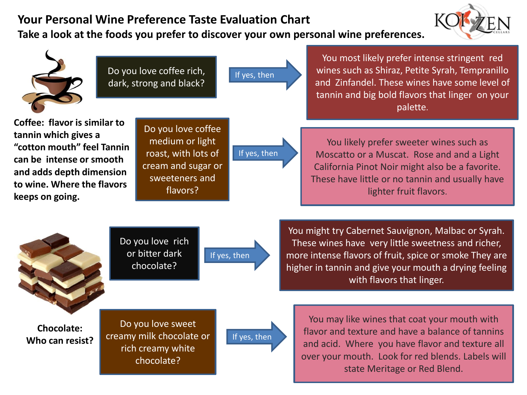# **Your Personal Wine Preference Taste Evaluation Chart**

**Take a look at the foods you prefer to discover your own personal wine preferences.** 



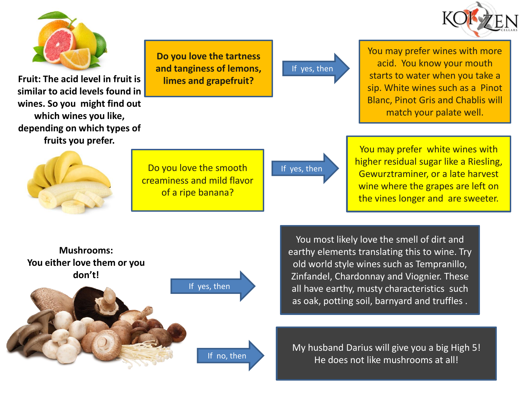



**Fruit: The acid level in fruit is similar to acid levels found in wines. So you might find out which wines you like, depending on which types of fruits you prefer.**

**Do you love the tartness and tanginess of lemons, limes and grapefruit?**

If yes, then

You may prefer wines with more acid. You know your mouth starts to water when you take a sip. White wines such as a Pinot Blanc, Pinot Gris and Chablis will match your palate well.



Do you love the smooth creaminess and mild flavor of a ripe banana?

If yes, then

You may prefer white wines with higher residual sugar like a Riesling, Gewurztraminer, or a late harvest wine where the grapes are left on the vines longer and are sweeter.



You most likely love the smell of dirt and earthy elements translating this to wine. Try old world style wines such as Tempranillo, Zinfandel, Chardonnay and Viognier. These all have earthy, musty characteristics such as oak, potting soil, barnyard and truffles .

My husband Darius will give you a big High 5! He does not like mushrooms at all!